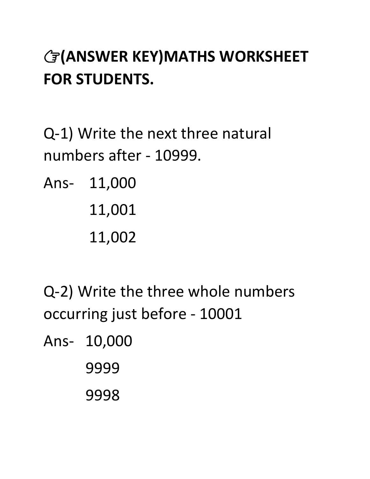## **(ANSWER KEY)MATHS WORKSHEET FOR STUDENTS.**

Q-1) Write the next three natural numbers after - 10999.

Ans- 11,000 11,001

11,002

Q-2) Write the three whole numbers occurring just before - 10001

Ans- 10,000

9999

9998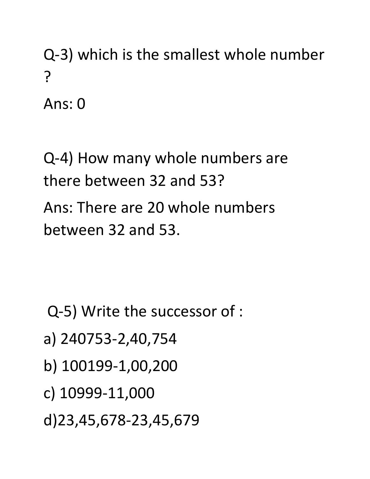Q-3) which is the smallest whole number ?

Ans: 0

Q-4) How many whole numbers are there between 32 and 53? Ans: There are 20 whole numbers between 32 and 53.

Q-5) Write the successor of :

- a) 240753-2,40,754
- b) 100199-1,00,200
- c) 10999-11,000
- d)23,45,678-23,45,679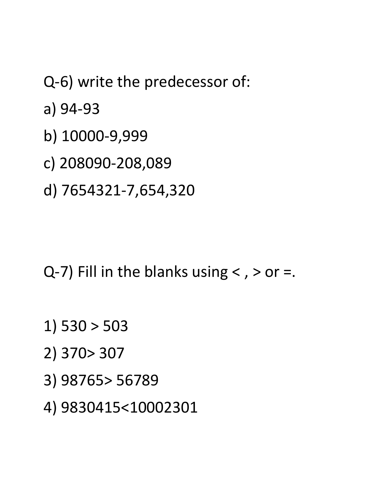Q-6) write the predecessor of:

a) 94-93

- b) 10000-9,999
- c) 208090-208,089
- d) 7654321-7,654,320

 $Q-7$ ) Fill in the blanks using < , > or =.

- 1) 530 > 503
- 2) 370> 307
- 3) 98765> 56789

4) 9830415<10002301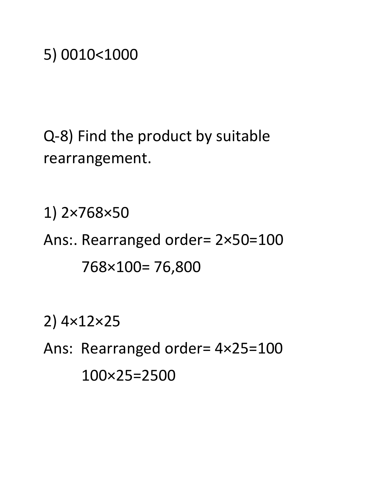Q-8) Find the product by suitable rearrangement.

1) 2×768×50 Ans:. Rearranged order= 2×50=100 768×100= 76,800

2) 4×12×25

Ans: Rearranged order= 4×25=100 100×25=2500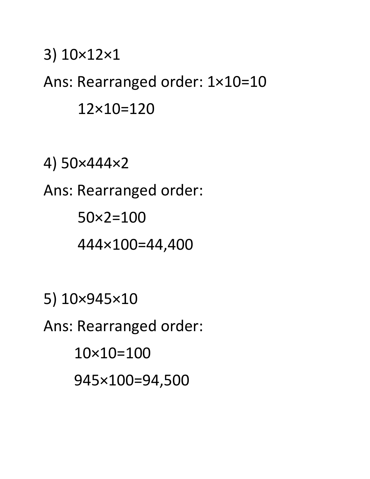## 3) 10×12×1 Ans: Rearranged order: 1×10=10 12×10=120

4) 50×444×2 Ans: Rearranged order: 50×2=100 444×100=44,400

5) 10×945×10 Ans: Rearranged order: 10×10=100 945×100=94,500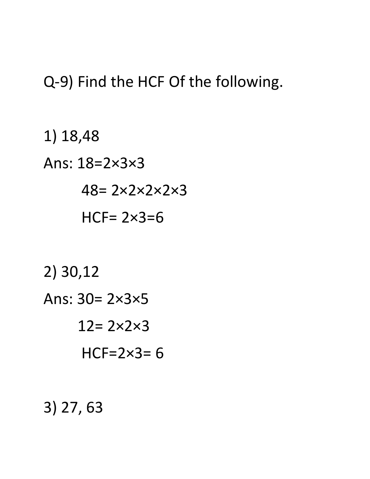## Q-9) Find the HCF Of the following.

1) 18,48 Ans: 18=2×3×3  $48 = 2 \times 2 \times 2 \times 2 \times 3$ HCF= $2\times3=6$ 2) 30,12 Ans:  $30 = 2 \times 3 \times 5$  $12 = 2 \times 2 \times 3$  $HCF=2\times3=6$ 

## $3)$  27, 63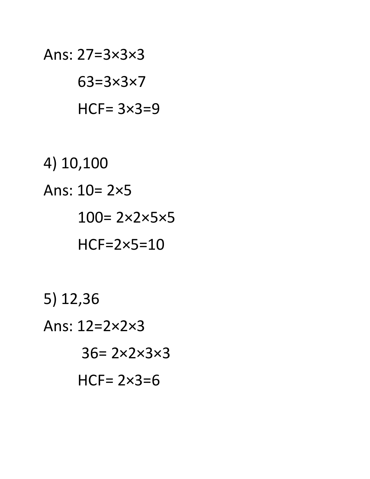Ans:  $27=3\times3\times3$  $63 = 3 \times 3 \times 7$  $HCF = 3 \times 3 = 9$ 

4) 10,100 Ans:  $10 = 2 \times 5$  $100 = 2 \times 2 \times 5 \times 5$  $HCF = 2 \times 5 = 10$ 

 $5)$  12,36 Ans:  $12=2\times2\times3$  $36 = 2 \times 2 \times 3 \times 3$ HCF= $2 \times 3=6$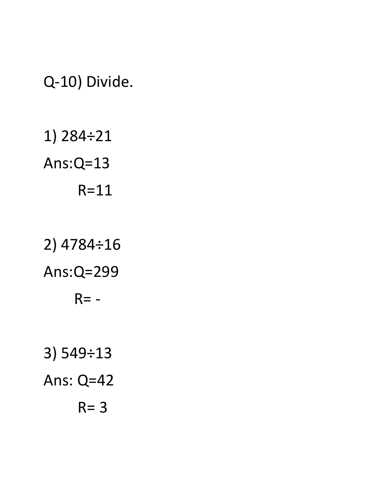Q-10) Divide.

1) 284÷21 Ans:Q=13 R=11

2) 4784÷16 Ans:Q=299  $R = -$ 3) 549÷13 Ans: Q=42

 $R = 3$